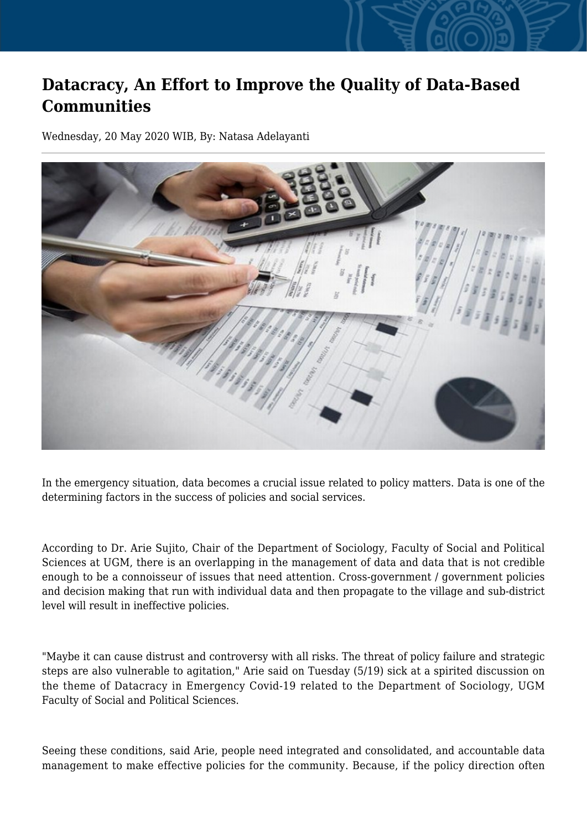## **Datacracy, An Effort to Improve the Quality of Data-Based Communities**

Wednesday, 20 May 2020 WIB, By: Natasa Adelayanti



In the emergency situation, data becomes a crucial issue related to policy matters. Data is one of the determining factors in the success of policies and social services.

According to Dr. Arie Sujito, Chair of the Department of Sociology, Faculty of Social and Political Sciences at UGM, there is an overlapping in the management of data and data that is not credible enough to be a connoisseur of issues that need attention. Cross-government / government policies and decision making that run with individual data and then propagate to the village and sub-district level will result in ineffective policies.

"Maybe it can cause distrust and controversy with all risks. The threat of policy failure and strategic steps are also vulnerable to agitation," Arie said on Tuesday (5/19) sick at a spirited discussion on the theme of Datacracy in Emergency Covid-19 related to the Department of Sociology, UGM Faculty of Social and Political Sciences.

Seeing these conditions, said Arie, people need integrated and consolidated, and accountable data management to make effective policies for the community. Because, if the policy direction often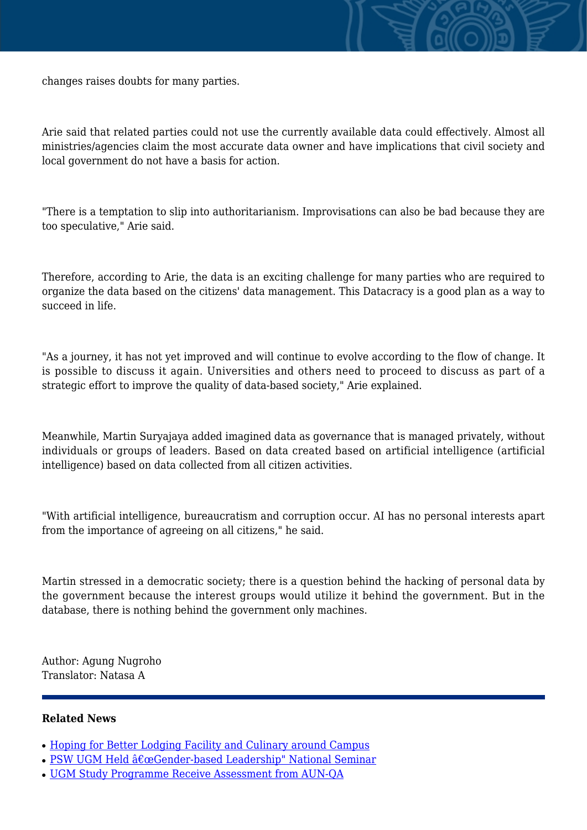

Arie said that related parties could not use the currently available data could effectively. Almost all ministries/agencies claim the most accurate data owner and have implications that civil society and local government do not have a basis for action.

"There is a temptation to slip into authoritarianism. Improvisations can also be bad because they are too speculative," Arie said.

Therefore, according to Arie, the data is an exciting challenge for many parties who are required to organize the data based on the citizens' data management. This Datacracy is a good plan as a way to succeed in life.

"As a journey, it has not yet improved and will continue to evolve according to the flow of change. It is possible to discuss it again. Universities and others need to proceed to discuss as part of a strategic effort to improve the quality of data-based society," Arie explained.

Meanwhile, Martin Suryajaya added imagined data as governance that is managed privately, without individuals or groups of leaders. Based on data created based on artificial intelligence (artificial intelligence) based on data collected from all citizen activities.

"With artificial intelligence, bureaucratism and corruption occur. AI has no personal interests apart from the importance of agreeing on all citizens," he said.

Martin stressed in a democratic society; there is a question behind the hacking of personal data by the government because the interest groups would utilize it behind the government. But in the database, there is nothing behind the government only machines.

Author: Agung Nugroho Translator: Natasa A

## **Related News**

- [Hoping for Better Lodging Facility and Culinary around Campus](http://ugm.ac.id/www.ugm.ac.id//en/news/14879-ugm-study-programme-receive-assessment-from-aun-qa)
- [PSW UGM Held "Gender-based Leadership" National Seminar](http://ugm.ac.id/www.ugm.ac.id//en/news/12331-ugm-committed-to-improving-academic-quality)
- UGM Study Programme Receive Assessment from AUN-OA